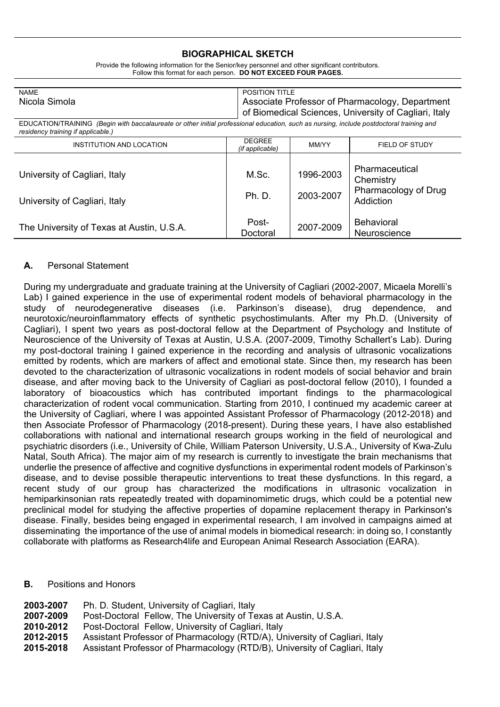#### **BIOGRAPHICAL SKETCH**

| <b>NAME</b>                                                                                                                                                                    |                                         | <b>POSITION TITLE</b> |                                                       |  |
|--------------------------------------------------------------------------------------------------------------------------------------------------------------------------------|-----------------------------------------|-----------------------|-------------------------------------------------------|--|
| Nicola Simola                                                                                                                                                                  |                                         |                       | Associate Professor of Pharmacology, Department       |  |
|                                                                                                                                                                                |                                         |                       | of Biomedical Sciences, University of Cagliari, Italy |  |
| EDUCATION/TRAINING (Begin with baccalaureate or other initial professional education, such as nursing, include postdoctoral training and<br>residency training if applicable.) |                                         |                       |                                                       |  |
| INSTITUTION AND LOCATION                                                                                                                                                       | <b>DEGREE</b><br><i>(if applicable)</i> | MM/YY                 | FIELD OF STUDY                                        |  |
|                                                                                                                                                                                |                                         |                       |                                                       |  |
| University of Cagliari, Italy                                                                                                                                                  | M.Sc.                                   | 1996-2003             | Pharmaceutical                                        |  |
|                                                                                                                                                                                |                                         |                       | Chemistry                                             |  |
|                                                                                                                                                                                | <b>Ph. D.</b>                           | 2003-2007             | Pharmacology of Drug                                  |  |
| University of Cagliari, Italy                                                                                                                                                  |                                         |                       | Addiction                                             |  |
|                                                                                                                                                                                |                                         |                       |                                                       |  |
| The University of Texas at Austin, U.S.A.                                                                                                                                      | Post-                                   | 2007-2009             | <b>Behavioral</b>                                     |  |
|                                                                                                                                                                                | Doctoral                                |                       | Neuroscience                                          |  |

Provide the following information for the Senior/key personnel and other significant contributors. Follow this format for each person. **DO NOT EXCEED FOUR PAGES.**

#### **A.** Personal Statement

During my undergraduate and graduate training at the University of Cagliari (2002-2007, Micaela Morelli's Lab) I gained experience in the use of experimental rodent models of behavioral pharmacology in the study of neurodegenerative diseases (i.e. Parkinson's disease), drug dependence, and neurotoxic/neuroinflammatory effects of synthetic psychostimulants. After my Ph.D. (University of Cagliari), I spent two years as post-doctoral fellow at the Department of Psychology and Institute of Neuroscience of the University of Texas at Austin, U.S.A. (2007-2009, Timothy Schallert's Lab). During my post-doctoral training I gained experience in the recording and analysis of ultrasonic vocalizations emitted by rodents, which are markers of affect and emotional state. Since then, my research has been devoted to the characterization of ultrasonic vocalizations in rodent models of social behavior and brain disease, and after moving back to the University of Cagliari as post-doctoral fellow (2010), I founded a laboratory of bioacoustics which has contributed important findings to the pharmacological characterization of rodent vocal communication. Starting from 2010, I continued my academic career at the University of Cagliari, where I was appointed Assistant Professor of Pharmacology (2012-2018) and then Associate Professor of Pharmacology (2018-present). During these years, I have also established collaborations with national and international research groups working in the field of neurological and psychiatric disorders (i.e., University of Chile, William Paterson University, U.S.A., University of Kwa-Zulu Natal, South Africa). The major aim of my research is currently to investigate the brain mechanisms that underlie the presence of affective and cognitive dysfunctions in experimental rodent models of Parkinson's disease, and to devise possible therapeutic interventions to treat these dysfunctions. In this regard, a recent study of our group has characterized the modifications in ultrasonic vocalization in hemiparkinsonian rats repeatedly treated with dopaminomimetic drugs, which could be a potential new preclinical model for studying the affective properties of dopamine replacement therapy in Parkinson's disease. Finally, besides being engaged in experimental research, I am involved in campaigns aimed at disseminating the importance of the use of animal models in biomedical research: in doing so, I constantly collaborate with platforms as Research4life and European Animal Research Association (EARA).

#### **B.** Positions and Honors

| 2003-2007 | Ph. D. Student, University of Cagliari, Italy                              |
|-----------|----------------------------------------------------------------------------|
| 2007-2009 | Post-Doctoral Fellow, The University of Texas at Austin, U.S.A.            |
| 2010-2012 | Post-Doctoral Fellow, University of Cagliari, Italy                        |
| 2012-2015 | Assistant Professor of Pharmacology (RTD/A), University of Cagliari, Italy |
| 2015-2018 | Assistant Professor of Pharmacology (RTD/B), University of Cagliari, Italy |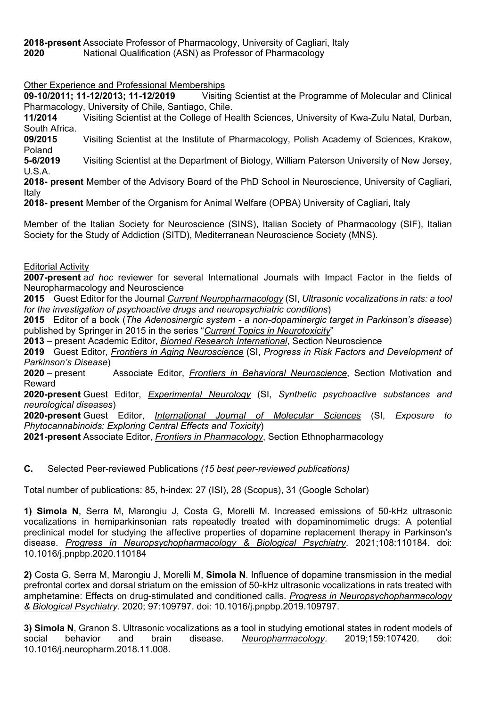**2018-present** Associate Professor of Pharmacology, University of Cagliari, Italy

**2020** National Qualification (ASN) as Professor of Pharmacology

# Other Experience and Professional Memberships

**09-10/2011; 11-12/2013; 11-12/2019** Visiting Scientist at the Programme of Molecular and Clinical Pharmacology, University of Chile, Santiago, Chile.

**11/2014** Visiting Scientist at the College of Health Sciences, University of Kwa-Zulu Natal, Durban, South Africa.

**09/2015** Visiting Scientist at the Institute of Pharmacology, Polish Academy of Sciences, Krakow, Poland

**5-6/2019** Visiting Scientist at the Department of Biology, William Paterson University of New Jersey, U.S.A.

**2018- present** Member of the Advisory Board of the PhD School in Neuroscience, University of Cagliari, Italy

**2018- present** Member of the Organism for Animal Welfare (OPBA) University of Cagliari, Italy

Member of the Italian Society for Neuroscience (SINS), Italian Society of Pharmacology (SIF), Italian Society for the Study of Addiction (SITD), Mediterranean Neuroscience Society (MNS).

## Editorial Activity

**2007-present** *ad hoc* reviewer for several International Journals with Impact Factor in the fields of Neuropharmacology and Neuroscience

**2015** Guest Editor for the Journal *Current Neuropharmacology* (SI, *Ultrasonic vocalizations in rats: a tool for the investigation of psychoactive drugs and neuropsychiatric conditions*)

**2015** Editor of a book (*The Adenosinergic system - a non-dopaminergic target in Parkinson's disease*) published by Springer in 2015 in the series "*Current Topics in Neurotoxicity*"

**2013** – present Academic Editor, *Biomed Research International*, Section Neuroscience

**2019** Guest Editor, *Frontiers in Aging Neuroscience* (SI, *Progress in Risk Factors and Development of Parkinson's Disease*)

**2020** – present Associate Editor, *Frontiers in Behavioral Neuroscience*, Section Motivation and Reward

**2020-present** Guest Editor, *Experimental Neurology* (SI, *Synthetic psychoactive substances and neurological diseases*)

**2020-present** Guest Editor, *International Journal of Molecular Sciences* (SI, *Exposure to Phytocannabinoids: Exploring Central Effects and Toxicity*)

**2021-present** Associate Editor, *Frontiers in Pharmacology*, Section Ethnopharmacology

**C.** Selected Peer-reviewed Publications *(15 best peer-reviewed publications)*

Total number of publications: 85, h-index: 27 (ISI), 28 (Scopus), 31 (Google Scholar)

**1) Simola N**, Serra M, Marongiu J, Costa G, Morelli M. Increased emissions of 50-kHz ultrasonic vocalizations in hemiparkinsonian rats repeatedly treated with dopaminomimetic drugs: A potential preclinical model for studying the affective properties of dopamine replacement therapy in Parkinson's disease. *Progress in Neuropsychopharmacology & Biological Psychiatry*. 2021;108:110184. doi: 10.1016/j.pnpbp.2020.110184

**2)** Costa G, Serra M, Marongiu J, Morelli M, **Simola N**. Influence of dopamine transmission in the medial prefrontal cortex and dorsal striatum on the emission of 50-kHz ultrasonic vocalizations in rats treated with amphetamine: Effects on drug-stimulated and conditioned calls. *Progress in Neuropsychopharmacology & Biological Psychiatry*. 2020; 97:109797. doi: 10.1016/j.pnpbp.2019.109797.

**3) Simola N**, Granon S. Ultrasonic vocalizations as a tool in studying emotional states in rodent models of social behavior and brain disease. *Neuropharmacology*. 2019;159:107420. doi: 10.1016/j.neuropharm.2018.11.008.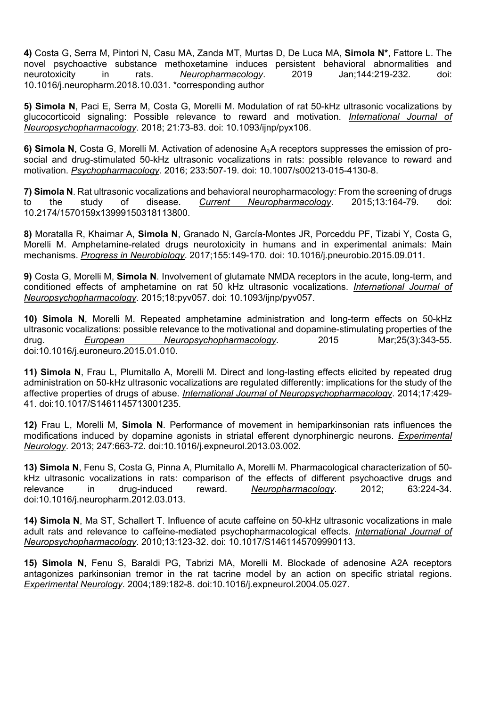**4)** Costa G, Serra M, Pintori N, Casu MA, Zanda MT, Murtas D, De Luca MA, **Simola N\***, Fattore L. The novel psychoactive substance methoxetamine induces persistent behavioral abnormalities and neurotoxicity in rats. *Neuropharmacology*. 2019 Jan;144:219-232. doi: 10.1016/j.neuropharm.2018.10.031. \*corresponding author

**5) Simola N**, Paci E, Serra M, Costa G, Morelli M. Modulation of rat 50-kHz ultrasonic vocalizations by glucocorticoid signaling: Possible relevance to reward and motivation. *International Journal of Neuropsychopharmacology*. 2018; 21:73-83. doi: 10.1093/ijnp/pyx106.

**6) Simola N**, Costa G, Morelli M. Activation of adenosine A₂A receptors suppresses the emission of prosocial and drug-stimulated 50-kHz ultrasonic vocalizations in rats: possible relevance to reward and motivation. *Psychopharmacology*. 2016; 233:507-19. doi: 10.1007/s00213-015-4130-8.

**7) Simola N**. Rat ultrasonic vocalizations and behavioral neuropharmacology: From the screening of drugs to the study of disease. *Current Neuropharmacology*. 2015;13:164-79. doi: 10.2174/1570159x13999150318113800.

**8)** Moratalla R, Khairnar A, **Simola N**, Granado N, García-Montes JR, Porceddu PF, Tizabi Y, Costa G, Morelli M. Amphetamine-related drugs neurotoxicity in humans and in experimental animals: Main mechanisms. *Progress in Neurobiology*. 2017;155:149-170. doi: 10.1016/j.pneurobio.2015.09.011.

**9)** Costa G, Morelli M, **Simola N**. Involvement of glutamate NMDA receptors in the acute, long-term, and conditioned effects of amphetamine on rat 50 kHz ultrasonic vocalizations. *International Journal of Neuropsychopharmacology*. 2015;18:pyv057. doi: 10.1093/ijnp/pyv057.

**10) Simola N**, Morelli M. Repeated amphetamine administration and long-term effects on 50-kHz ultrasonic vocalizations: possible relevance to the motivational and dopamine-stimulating properties of the drug. *European Neuropsychopharmacology*. 2015 Mar;25(3):343-55. doi:10.1016/j.euroneuro.2015.01.010.

**11) Simola N**, Frau L, Plumitallo A, Morelli M. Direct and long-lasting effects elicited by repeated drug administration on 50-kHz ultrasonic vocalizations are regulated differently: implications for the study of the affective properties of drugs of abuse. *International Journal of Neuropsychopharmacology*. 2014;17:429- 41. doi:10.1017/S1461145713001235.

**12)** Frau L, Morelli M, **Simola N**. Performance of movement in hemiparkinsonian rats influences the modifications induced by dopamine agonists in striatal efferent dynorphinergic neurons. *Experimental Neurology*. 2013; 247:663-72. doi:10.1016/j.expneurol.2013.03.002.

**13) Simola N**, Fenu S, Costa G, Pinna A, Plumitallo A, Morelli M. Pharmacological characterization of 50 kHz ultrasonic vocalizations in rats: comparison of the effects of different psychoactive drugs and relevance in drug-induced reward. *Neuropharmacology*. 2012; 63:224-34. doi:10.1016/j.neuropharm.2012.03.013.

**14) Simola N**, Ma ST, Schallert T. Influence of acute caffeine on 50-kHz ultrasonic vocalizations in male adult rats and relevance to caffeine-mediated psychopharmacological effects. *International Journal of Neuropsychopharmacology*. 2010;13:123-32. doi: 10.1017/S1461145709990113.

**15) Simola N**, Fenu S, Baraldi PG, Tabrizi MA, Morelli M. Blockade of adenosine A2A receptors antagonizes parkinsonian tremor in the rat tacrine model by an action on specific striatal regions. *Experimental Neurology*. 2004;189:182-8. doi:10.1016/j.expneurol.2004.05.027.